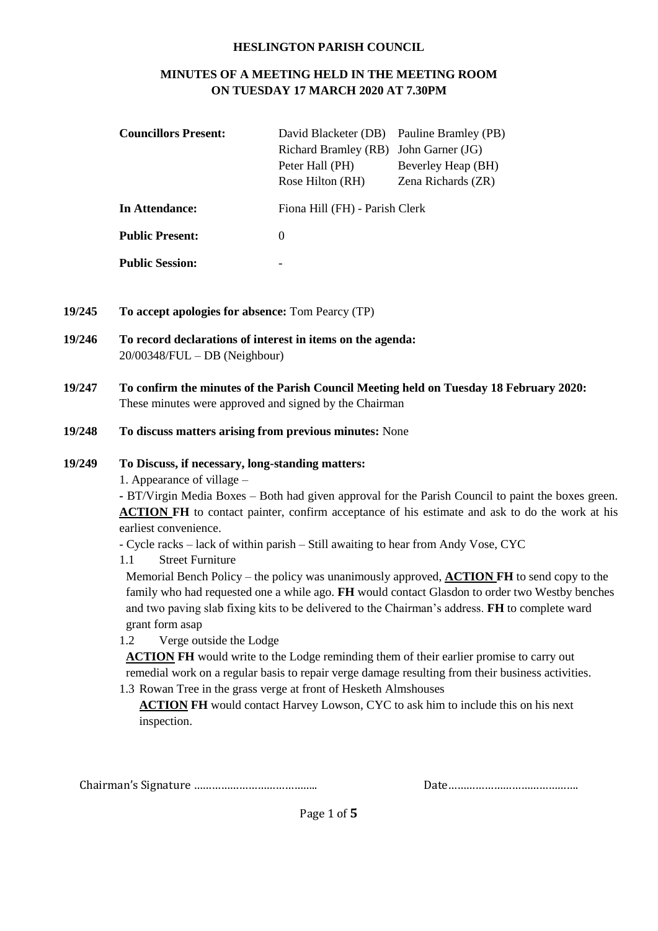#### **HESLINGTON PARISH COUNCIL**

## **MINUTES OF A MEETING HELD IN THE MEETING ROOM ON TUESDAY 17 MARCH 2020 AT 7.30PM**

| <b>Councillors Present:</b> | David Blacketer (DB) Pauline Bramley (PB) |                    |  |
|-----------------------------|-------------------------------------------|--------------------|--|
|                             | Richard Bramley (RB)                      | John Garner (JG)   |  |
|                             | Peter Hall (PH)                           | Beverley Heap (BH) |  |
|                             | Rose Hilton (RH)                          | Zena Richards (ZR) |  |
| In Attendance:              | Fiona Hill (FH) - Parish Clerk            |                    |  |
| <b>Public Present:</b>      | $\Omega$                                  |                    |  |
| <b>Public Session:</b>      |                                           |                    |  |

- **19/245 To accept apologies for absence:** Tom Pearcy (TP)
- **19/246 To record declarations of interest in items on the agenda:**  20/00348/FUL – DB (Neighbour)
- **19/247 To confirm the minutes of the Parish Council Meeting held on Tuesday 18 February 2020:** These minutes were approved and signed by the Chairman
- **19/248 To discuss matters arising from previous minutes:** None

### **19/249 To Discuss, if necessary, long-standing matters:**

1. Appearance of village –

**-** BT/Virgin Media Boxes – Both had given approval for the Parish Council to paint the boxes green. **ACTION FH** to contact painter, confirm acceptance of his estimate and ask to do the work at his earliest convenience.

- Cycle racks lack of within parish Still awaiting to hear from Andy Vose, CYC
- 1.1 Street Furniture

Memorial Bench Policy – the policy was unanimously approved, **ACTION FH** to send copy to the family who had requested one a while ago. **FH** would contact Glasdon to order two Westby benches and two paving slab fixing kits to be delivered to the Chairman's address. **FH** to complete ward grant form asap

1.2 Verge outside the Lodge

**ACTION FH** would write to the Lodge reminding them of their earlier promise to carry out remedial work on a regular basis to repair verge damage resulting from their business activities.

1.3 Rowan Tree in the grass verge at front of Hesketh Almshouses

**ACTION FH** would contact Harvey Lowson, CYC to ask him to include this on his next inspection.

Chairman's Signature ………………………………….. Date…………………………………….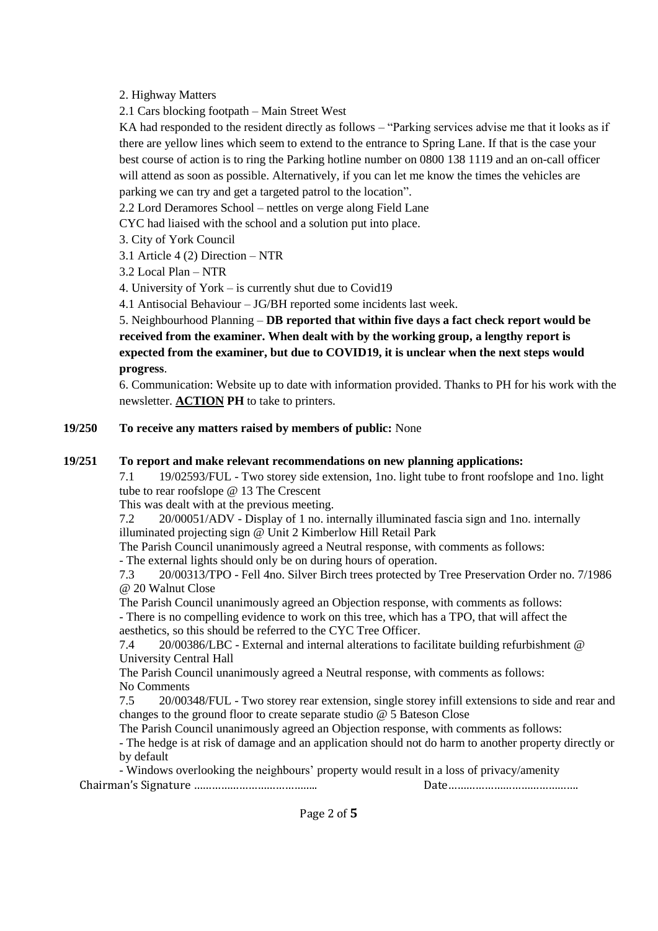2. Highway Matters

2.1 Cars blocking footpath – Main Street West

KA had responded to the resident directly as follows – "Parking services advise me that it looks as if there are yellow lines which seem to extend to the entrance to Spring Lane. If that is the case your best course of action is to ring the Parking hotline number on 0800 138 1119 and an on-call officer will attend as soon as possible. Alternatively, if you can let me know the times the vehicles are parking we can try and get a targeted patrol to the location".

2.2 Lord Deramores School – nettles on verge along Field Lane

CYC had liaised with the school and a solution put into place.

3. City of York Council

3.1 Article 4 (2) Direction – NTR

3.2 Local Plan – NTR

4. University of York – is currently shut due to Covid19

4.1 Antisocial Behaviour – JG/BH reported some incidents last week.

5. Neighbourhood Planning – **DB reported that within five days a fact check report would be received from the examiner. When dealt with by the working group, a lengthy report is expected from the examiner, but due to COVID19, it is unclear when the next steps would progress**.

6. Communication: Website up to date with information provided. Thanks to PH for his work with the newsletter. **ACTION PH** to take to printers.

#### **19/250 To receive any matters raised by members of public:** None

#### **19/251 To report and make relevant recommendations on new planning applications:**

7.1 19/02593/FUL - Two storey side extension, 1no. light tube to front roofslope and 1no. light tube to rear roofslope @ 13 The Crescent

This was dealt with at the previous meeting.

7.2 20/00051/ADV - Display of 1 no. internally illuminated fascia sign and 1no. internally illuminated projecting sign @ Unit 2 Kimberlow Hill Retail Park

The Parish Council unanimously agreed a Neutral response, with comments as follows:

- The external lights should only be on during hours of operation.

7.3 20/00313/TPO - Fell 4no. Silver Birch trees protected by Tree Preservation Order no. 7/1986 @ 20 Walnut Close

The Parish Council unanimously agreed an Objection response, with comments as follows: - There is no compelling evidence to work on this tree, which has a TPO, that will affect the aesthetics, so this should be referred to the CYC Tree Officer.

7.4 20/00386/LBC - External and internal alterations to facilitate building refurbishment @ University Central Hall

The Parish Council unanimously agreed a Neutral response, with comments as follows: No Comments

7.5 20/00348/FUL - Two storey rear extension, single storey infill extensions to side and rear and changes to the ground floor to create separate studio @ 5 Bateson Close

The Parish Council unanimously agreed an Objection response, with comments as follows:

- The hedge is at risk of damage and an application should not do harm to another property directly or by default

Chairman's Signature ………………………………….. Date……………………………………. - Windows overlooking the neighbours' property would result in a loss of privacy/amenity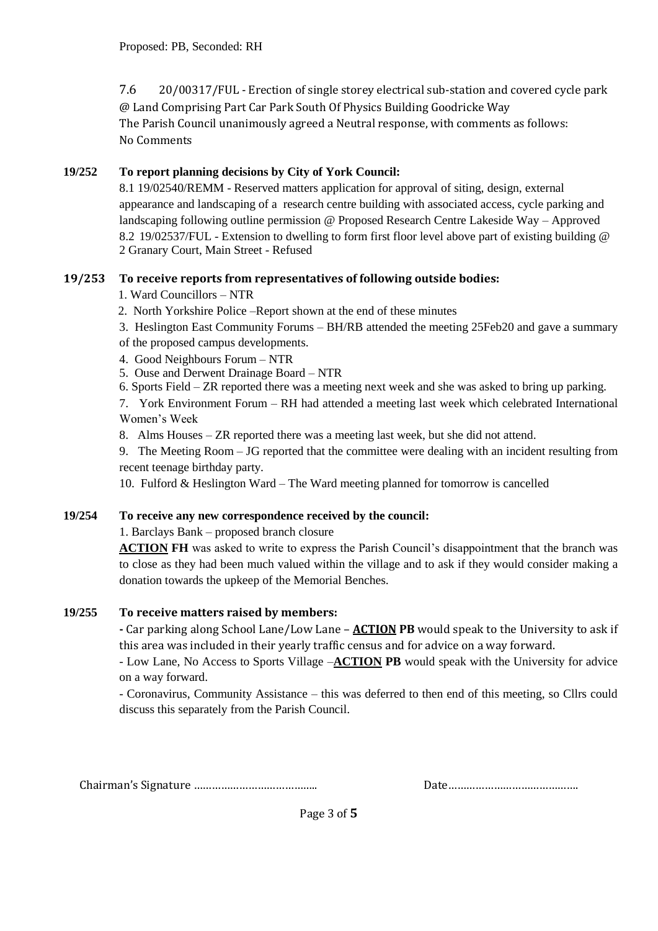7.6 20/00317/FUL - Erection of single storey electrical sub-station and covered cycle park @ Land Comprising Part Car Park South Of Physics Building Goodricke Way The Parish Council unanimously agreed a Neutral response, with comments as follows: No Comments

# **19/252 To report planning decisions by City of York Council:**

8.1 19/02540/REMM - Reserved matters application for approval of siting, design, external appearance and landscaping of a research centre building with associated access, cycle parking and landscaping following outline permission @ Proposed Research Centre Lakeside Way – Approved 8.2 19/02537/FUL - Extension to dwelling to form first floor level above part of existing building @ 2 Granary Court, Main Street - Refused

## **19/253 To receive reports from representatives of following outside bodies:**

- 1. Ward Councillors NTR
- 2. North Yorkshire Police –Report shown at the end of these minutes
- 3. Heslington East Community Forums BH/RB attended the meeting 25Feb20 and gave a summary of the proposed campus developments.
- 4. Good Neighbours Forum NTR
- 5. Ouse and Derwent Drainage Board NTR
- 6. Sports Field ZR reported there was a meeting next week and she was asked to bring up parking.

7. York Environment Forum – RH had attended a meeting last week which celebrated International Women's Week

8. Alms Houses – ZR reported there was a meeting last week, but she did not attend.

9. The Meeting Room – JG reported that the committee were dealing with an incident resulting from recent teenage birthday party.

10. Fulford & Heslington Ward – The Ward meeting planned for tomorrow is cancelled

## **19/254 To receive any new correspondence received by the council:**

1. Barclays Bank – proposed branch closure

**ACTION FH** was asked to write to express the Parish Council's disappointment that the branch was to close as they had been much valued within the village and to ask if they would consider making a donation towards the upkeep of the Memorial Benches.

## **19/255 To receive matters raised by members:**

**-** Car parking along School Lane/Low Lane – **ACTION PB** would speak to the University to ask if this area was included in their yearly traffic census and for advice on a way forward.

- Low Lane, No Access to Sports Village –**ACTION PB** would speak with the University for advice on a way forward.

- Coronavirus, Community Assistance – this was deferred to then end of this meeting, so Cllrs could discuss this separately from the Parish Council.

Chairman's Signature ………………………………….. Date…………………………………….

|--|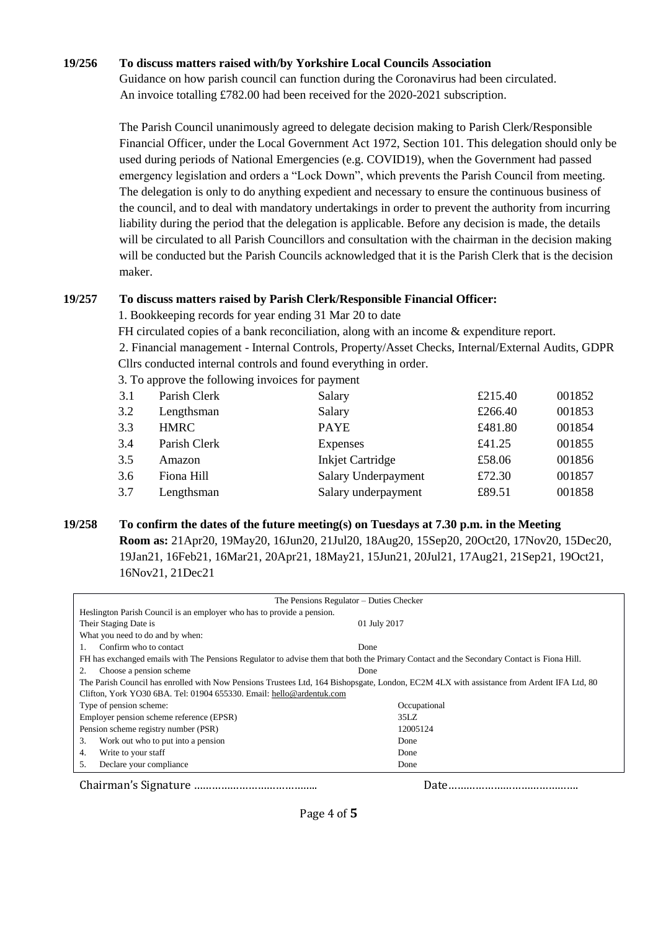### **19/256 To discuss matters raised with/by Yorkshire Local Councils Association**

Guidance on how parish council can function during the Coronavirus had been circulated. An invoice totalling £782.00 had been received for the 2020-2021 subscription.

The Parish Council unanimously agreed to delegate decision making to Parish Clerk/Responsible Financial Officer, under the Local Government Act 1972, Section 101. This delegation should only be used during periods of National Emergencies (e.g. COVID19), when the Government had passed emergency legislation and orders a "Lock Down", which prevents the Parish Council from meeting. The delegation is only to do anything expedient and necessary to ensure the continuous business of the council, and to deal with mandatory undertakings in order to prevent the authority from incurring liability during the period that the delegation is applicable. Before any decision is made, the details will be circulated to all Parish Councillors and consultation with the chairman in the decision making will be conducted but the Parish Councils acknowledged that it is the Parish Clerk that is the decision maker.

### **19/257 To discuss matters raised by Parish Clerk/Responsible Financial Officer:**

1. Bookkeeping records for year ending 31 Mar 20 to date

FH circulated copies of a bank reconciliation, along with an income & expenditure report.

2. Financial management - Internal Controls, Property/Asset Checks, Internal/External Audits, GDPR Cllrs conducted internal controls and found everything in order.

3. To approve the following invoices for payment

| 3.1 | Parish Clerk | Salary                  | £215.40 | 001852 |
|-----|--------------|-------------------------|---------|--------|
| 3.2 | Lengthsman   | Salary                  | £266.40 | 001853 |
| 3.3 | <b>HMRC</b>  | <b>PAYE</b>             | £481.80 | 001854 |
| 3.4 | Parish Clerk | <b>Expenses</b>         | £41.25  | 001855 |
| 3.5 | Amazon       | <b>Inkjet Cartridge</b> | £58.06  | 001856 |
| 3.6 | Fiona Hill   | Salary Underpayment     | £72.30  | 001857 |
| 3.7 | Lengthsman   | Salary underpayment     | £89.51  | 001858 |
|     |              |                         |         |        |

# **19/258 To confirm the dates of the future meeting(s) on Tuesdays at 7.30 p.m. in the Meeting Room as:** 21Apr20, 19May20, 16Jun20, 21Jul20, 18Aug20, 15Sep20, 20Oct20, 17Nov20, 15Dec20, 19Jan21, 16Feb21, 16Mar21, 20Apr21, 18May21, 15Jun21, 20Jul21, 17Aug21, 21Sep21, 19Oct21, 16Nov21, 21Dec21

| The Pensions Regulator – Duties Checker                                                                                                   |              |  |  |
|-------------------------------------------------------------------------------------------------------------------------------------------|--------------|--|--|
| Heslington Parish Council is an employer who has to provide a pension.                                                                    |              |  |  |
| Their Staging Date is                                                                                                                     | 01 July 2017 |  |  |
| What you need to do and by when:                                                                                                          |              |  |  |
| Confirm who to contact                                                                                                                    | Done         |  |  |
| FH has exchanged emails with The Pensions Regulator to advise them that both the Primary Contact and the Secondary Contact is Fiona Hill. |              |  |  |
| Choose a pension scheme<br>2.                                                                                                             | Done         |  |  |
| The Parish Council has enrolled with Now Pensions Trustees Ltd, 164 Bishopsgate, London, EC2M 4LX with assistance from Ardent IFA Ltd, 80 |              |  |  |
| Clifton, York YO30 6BA. Tel: 01904 655330. Email: hello@ardentuk.com                                                                      |              |  |  |
| Type of pension scheme:                                                                                                                   | Occupational |  |  |
| Employer pension scheme reference (EPSR)                                                                                                  | 35LZ         |  |  |
| Pension scheme registry number (PSR)                                                                                                      | 12005124     |  |  |
| Work out who to put into a pension<br>3.                                                                                                  | Done         |  |  |
| Write to your staff<br>4.                                                                                                                 | Done         |  |  |
| Declare your compliance<br>5.                                                                                                             | Done         |  |  |
|                                                                                                                                           |              |  |  |